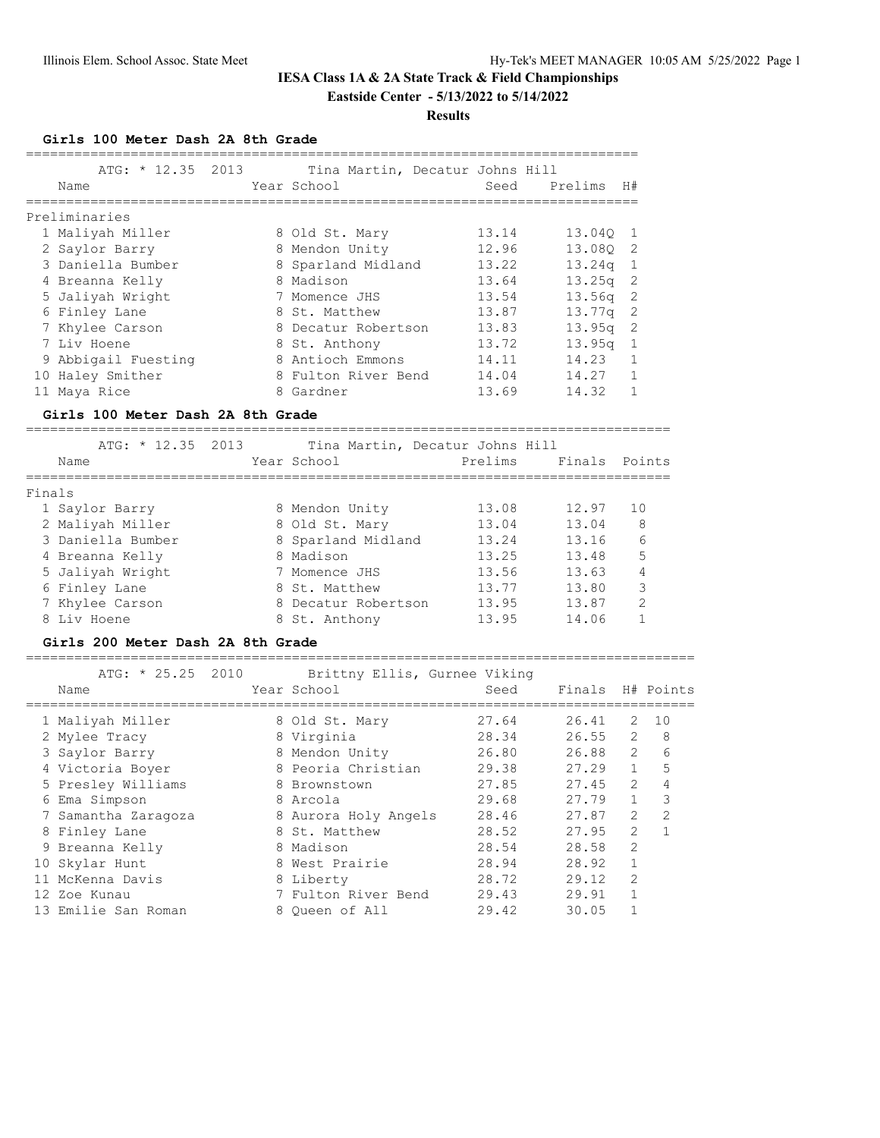#### **Results**

**Girls 100 Meter Dash 2A 8th Grade**

| ATG: $\star$ 12.35 2013<br>Name |   | Tina Martin, Decatur Johns Hill<br>Year School | Seed  | Prelims            | H#             |
|---------------------------------|---|------------------------------------------------|-------|--------------------|----------------|
| Preliminaries                   |   |                                                |       |                    |                |
| 1 Maliyah Miller                |   | 8 Old St. Mary                                 | 13.14 | 13.040 1           |                |
| 2 Saylor Barry                  |   | 8 Mendon Unity                                 | 12.96 | 13.080 2           |                |
| 3 Daniella Bumber               |   | 8 Sparland Midland                             | 13.22 | 13.24q             | -1             |
| 4 Breanna Kelly                 |   | 8 Madison                                      | 13.64 | $13.25q$ 2         |                |
| 5 Jaliyah Wright                |   | 7 Momence JHS                                  | 13.54 | $13.56q$ 2         |                |
| 6 Finley Lane                   |   | 8 St. Matthew                                  | 13.87 | 13.77 <sub>q</sub> | -2             |
| 7 Khylee Carson                 |   | 8 Decatur Robertson                            | 13.83 | 13.95q             | -2             |
| 7 Liv Hoene                     |   | 8 St. Anthony                                  | 13.72 | 13.95q             | $\overline{1}$ |
| 9 Abbigail Fuesting             |   | 8 Antioch Emmons                               | 14.11 | 14.23              |                |
| 10 Haley Smither                |   | 8 Fulton River Bend                            | 14.04 | 14.27              |                |
| 11 Maya Rice                    | 8 | Gardner                                        | 13.69 | 14.32              |                |

### **Girls 100 Meter Dash 2A 8th Grade**

================================================================================

|        | ATG: $* 12.35 2013$ |                     | Tina Martin, Decatur Johns Hill |               |               |
|--------|---------------------|---------------------|---------------------------------|---------------|---------------|
|        | Name                | Year School         | Prelims                         | Finals Points |               |
|        |                     |                     |                                 |               |               |
| Finals |                     |                     |                                 |               |               |
|        | 1 Saylor Barry      | 8 Mendon Unity      | 13.08                           | 12.97         | 10            |
|        | 2 Maliyah Miller    | 8 Old St. Mary      | 13.04                           | 13.04         | 8             |
|        | 3 Daniella Bumber   | 8 Sparland Midland  | 13.24                           | 13.16         | 6             |
|        | 4 Breanna Kelly     | 8 Madison           | 13.25                           | 13.48         | 5             |
|        | 5 Jaliyah Wright    | 7 Momence JHS       | 13.56                           | 13.63         | 4             |
|        | 6 Finley Lane       | 8 St. Matthew       | 13.77                           | 13.80         | 3             |
|        | 7 Khylee Carson     | 8 Decatur Robertson | 13.95                           | 13.87         | $\mathcal{L}$ |
|        | 8 Liv Hoene         | 8 St. Anthony       | 13.95                           | 14.06         |               |
|        |                     |                     |                                 |               |               |

## **Girls 200 Meter Dash 2A 8th Grade**

===================================================================================

| ATG: * 25.25 2010   | Brittny Ellis, Gurnee Viking |       |                  |                |               |
|---------------------|------------------------------|-------|------------------|----------------|---------------|
| Name                | Year School                  | Seed  | Finals H# Points |                |               |
| 1 Maliyah Miller    | 8 Old St. Mary               | 27.64 | 26.41            | 2              | 1 O           |
| 2 Mylee Tracy       | 8 Virginia                   | 28.34 | 26.55            | 2              | 8             |
| 3 Saylor Barry      | 8 Mendon Unity               | 26.80 | 26.88            | 2              | 6             |
| 4 Victoria Boyer    | 8 Peoria Christian           | 29.38 | 27.29            | $\mathbf{1}$   | 5             |
| 5 Presley Williams  | 8 Brownstown                 | 27.85 | 27.45            | $\mathcal{L}$  | 4             |
| 6 Ema Simpson       | 8 Arcola                     | 29.68 | 27.79            | $\mathbf{1}$   | 3             |
| 7 Samantha Zaragoza | 8 Aurora Holy Angels         | 28.46 | 27.87            | $\mathcal{L}$  | $\mathcal{L}$ |
| 8 Finley Lane       | 8 St. Matthew                | 28.52 | 27.95            | $\mathcal{L}$  | $\mathbf{1}$  |
| 9 Breanna Kelly     | 8 Madison                    | 28.54 | 28.58            | $\overline{2}$ |               |
| 10 Skylar Hunt      | 8 West Prairie               | 28.94 | 28.92            | $\mathbf{1}$   |               |
| 11 McKenna Davis    | 8 Liberty                    | 28.72 | 29.12            | $\mathfrak{D}$ |               |
| 12 Zoe Kunau        | 7 Fulton River Bend          | 29.43 | 29.91            | 1              |               |
| 13 Emilie San Roman | 8 Oueen of All               | 29.42 | 30.05            |                |               |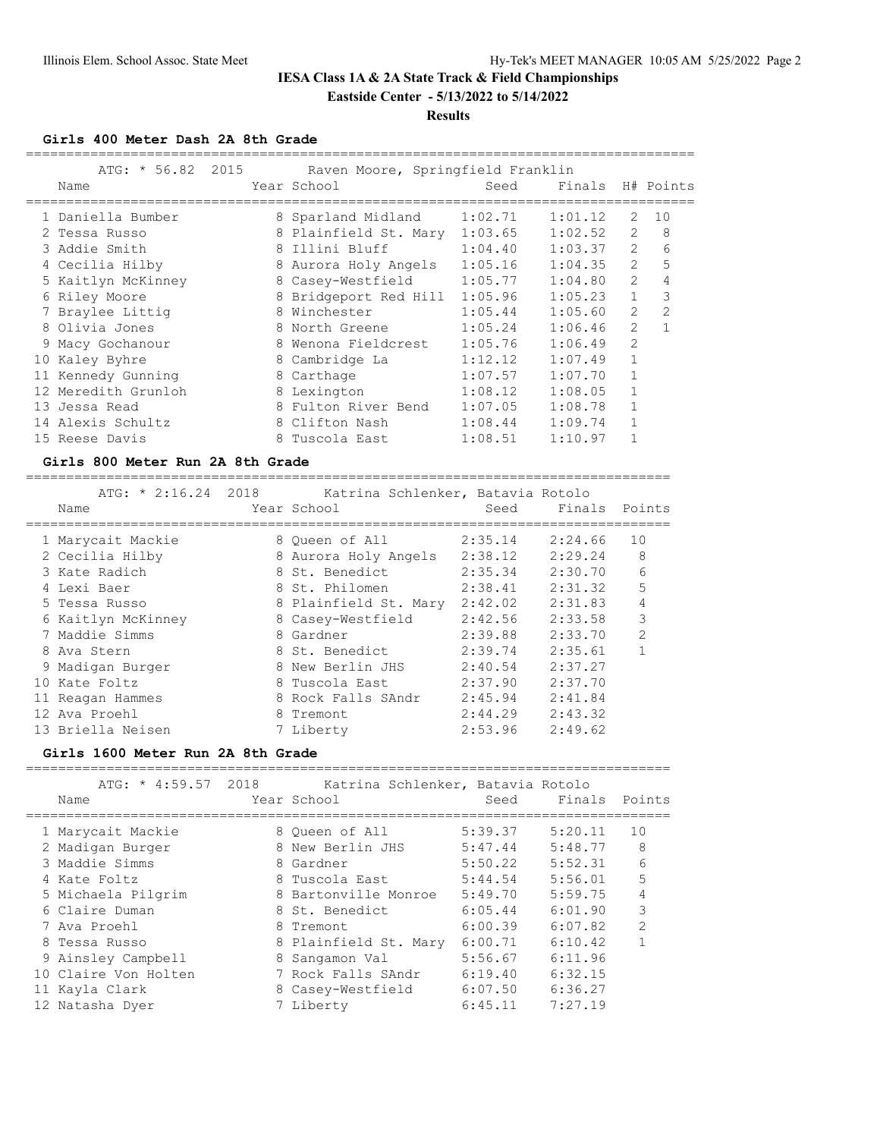# **Results**

**Girls 400 Meter Dash 2A 8th Grade**

| ATG: * 56.82 2015   | Raven Moore, Springfield Franklin |         |                  |                |                |
|---------------------|-----------------------------------|---------|------------------|----------------|----------------|
| Name                | Year School                       | Seed    | Finals H# Points |                |                |
| 1 Daniella Bumber   | 8 Sparland Midland                | 1:02.71 | 1:01.12          | 2              | 10             |
| 2 Tessa Russo       | 8 Plainfield St. Mary 1:03.65     |         | 1:02.52          | $\overline{2}$ | 8              |
| 3 Addie Smith       | 8 Illini Bluff                    | 1:04.40 | 1:03.37          | $\overline{2}$ | 6              |
| 4 Cecilia Hilby     | 8 Aurora Holy Angels              | 1:05.16 | 1:04.35          | $\mathcal{L}$  | 5              |
| 5 Kaitlyn McKinney  | 8 Casey-Westfield                 | 1:05.77 | 1:04.80          | $\overline{2}$ | 4              |
| 6 Riley Moore       | 8 Bridgeport Red Hill             | 1:05.96 | 1:05.23          | $\mathbf{1}$   | 3              |
| 7 Braylee Littig    | 8 Winchester                      | 1:05.44 | 1:05.60          | $\overline{2}$ | $\mathfrak{D}$ |
| 8 Olivia Jones      | 8 North Greene                    | 1:05.24 | 1:06.46          | 2              | $\mathbf{1}$   |
| 9 Macy Gochanour    | 8 Wenona Fieldcrest 1:05.76       |         | 1:06.49          | $\overline{2}$ |                |
| 10 Kaley Byhre      | 8 Cambridge La                    | 1:12.12 | 1:07.49          | $\mathbf{1}$   |                |
| 11 Kennedy Gunning  | 8 Carthage                        | 1:07.57 | 1:07.70          | $\mathbf{1}$   |                |
| 12 Meredith Grunloh | 8 Lexington                       | 1:08.12 | 1:08.05          |                |                |
| 13 Jessa Read       | 8 Fulton River Bend               | 1:07.05 | 1:08.78          |                |                |
| 14 Alexis Schultz   | 8 Clifton Nash                    | 1:08.44 | 1:09.74          |                |                |
| 15 Reese Davis      | 8 Tuscola East                    | 1:08.51 | 1:10.97          |                |                |
|                     |                                   |         |                  |                |                |

### **Girls 800 Meter Run 2A 8th Grade**

================================================================================

| Name |                                                                                                                                                                                                                                             | Seed                                                                                                                                                                                                                                                                                  | Finals Points |                                   |
|------|---------------------------------------------------------------------------------------------------------------------------------------------------------------------------------------------------------------------------------------------|---------------------------------------------------------------------------------------------------------------------------------------------------------------------------------------------------------------------------------------------------------------------------------------|---------------|-----------------------------------|
|      |                                                                                                                                                                                                                                             | 2:35.14                                                                                                                                                                                                                                                                               | 2:24.66       | 10                                |
|      |                                                                                                                                                                                                                                             |                                                                                                                                                                                                                                                                                       | 2:29.24       | 8                                 |
|      |                                                                                                                                                                                                                                             | 2:35.34                                                                                                                                                                                                                                                                               | 2:30.70       | 6                                 |
|      |                                                                                                                                                                                                                                             | 2:38.41                                                                                                                                                                                                                                                                               | 2:31.32       | 5                                 |
|      |                                                                                                                                                                                                                                             | 2:42.02                                                                                                                                                                                                                                                                               | 2:31.83       | 4                                 |
|      |                                                                                                                                                                                                                                             | 2:42.56                                                                                                                                                                                                                                                                               | 2:33.58       | 3                                 |
|      |                                                                                                                                                                                                                                             | 2:39.88                                                                                                                                                                                                                                                                               | 2:33.70       | $\overline{2}$                    |
|      |                                                                                                                                                                                                                                             | 2:39.74                                                                                                                                                                                                                                                                               | 2:35.61       | 1                                 |
|      |                                                                                                                                                                                                                                             | 2:40.54                                                                                                                                                                                                                                                                               | 2:37.27       |                                   |
|      |                                                                                                                                                                                                                                             | 2:37.90                                                                                                                                                                                                                                                                               | 2:37.70       |                                   |
|      |                                                                                                                                                                                                                                             | 2:45.94                                                                                                                                                                                                                                                                               | 2:41.84       |                                   |
|      |                                                                                                                                                                                                                                             | 2:44.29                                                                                                                                                                                                                                                                               | 2:43.32       |                                   |
|      |                                                                                                                                                                                                                                             | 2:53.96                                                                                                                                                                                                                                                                               | 2:49.62       |                                   |
|      | 1 Marycait Mackie<br>2 Cecilia Hilby<br>3 Kate Radich<br>4 Lexi Baer<br>5 Tessa Russo<br>6 Kaitlyn McKinney<br>7 Maddie Simms<br>8 Ava Stern<br>9 Madigan Burger<br>10 Kate Foltz<br>11 Reagan Hammes<br>12 Ava Proehl<br>13 Briella Neisen | ATG: $*$ 2:16.24 2018<br>Year School<br>8 Oueen of All<br>8 Aurora Holy Angels<br>8 St. Benedict<br>8 St. Philomen<br>8 Plainfield St. Mary<br>8 Casey-Westfield<br>8 Gardner<br>8 St. Benedict<br>8 New Berlin JHS<br>8 Tuscola East<br>8 Rock Falls SAndr<br>8 Tremont<br>7 Liberty | 2:38.12       | Katrina Schlenker, Batavia Rotolo |

### **Girls 1600 Meter Run 2A 8th Grade**

| $ATG: * 4:59.57 2018$<br>Name | Katrina Schlenker, Batavia Rotolo<br>Year School | Seed    | Finals  | Points         |
|-------------------------------|--------------------------------------------------|---------|---------|----------------|
| 1 Marycait Mackie             | 8 Oueen of All                                   | 5:39.37 | 5:20.11 | 10             |
| 2 Madigan Burger              | 8 New Berlin JHS                                 | 5:47.44 | 5:48.77 | 8              |
| 3 Maddie Simms                | 8 Gardner                                        | 5:50.22 | 5:52.31 | 6              |
| 4 Kate Foltz                  | 8 Tuscola East                                   | 5:44.54 | 5:56.01 | 5              |
| 5 Michaela Pilgrim            | 8 Bartonville Monroe                             | 5:49.70 | 5:59.75 | 4              |
| 6 Claire Duman                | 8 St. Benedict                                   | 6:05.44 | 6:01.90 | 3              |
| 7 Ava Proehl                  | 8 Tremont                                        | 6:00.39 | 6:07.82 | $\overline{2}$ |
| 8 Tessa Russo                 | 8 Plainfield St. Mary                            | 6:00.71 | 6:10.42 |                |
| 9 Ainsley Campbell            | 8 Sangamon Val                                   | 5:56.67 | 6:11.96 |                |
| 10 Claire Von Holten          | 7 Rock Falls SAndr                               | 6:19.40 | 6:32.15 |                |
| 11 Kayla Clark                | 8 Casey-Westfield                                | 6:07.50 | 6:36.27 |                |
| 12 Natasha Dyer               | 7 Liberty                                        | 6:45.11 | 7:27.19 |                |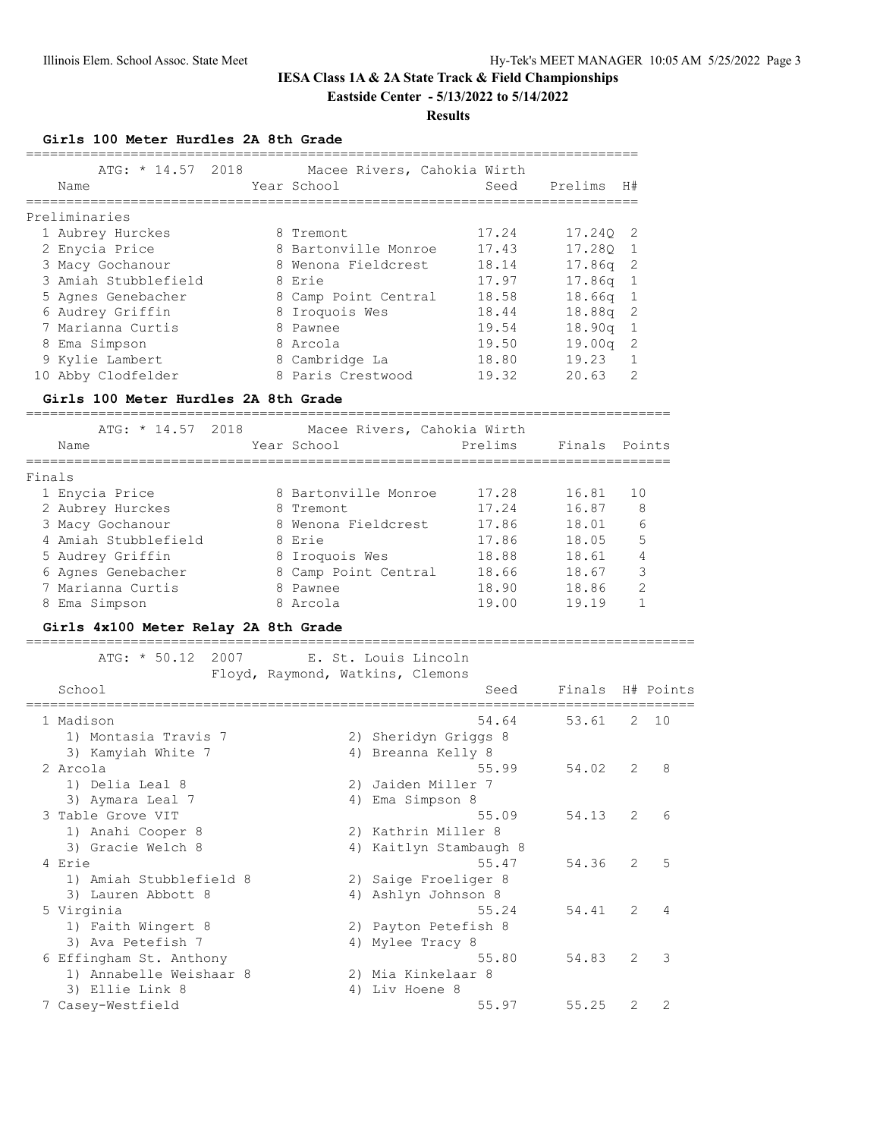#### **Results**

**Girls 100 Meter Hurdles 2A 8th Grade**

| Name                 |                                      | ATG: * 14.57 2018 Macee Rivers, Cahokia Wirth<br>Year School | Seed    | Prelims       | H#             |
|----------------------|--------------------------------------|--------------------------------------------------------------|---------|---------------|----------------|
| Preliminaries        |                                      |                                                              |         |               |                |
| 1 Aubrey Hurckes     |                                      | 8 Tremont                                                    | 17.24   | 17.24Q 2      |                |
| 2 Enycia Price       |                                      | 8 Bartonville Monroe                                         | 17.43   | 17.280        | $\mathbf{1}$   |
| 3 Macy Gochanour     |                                      | 8 Wenona Fieldcrest                                          | 18.14   | 17.86q        | 2              |
| 3 Amiah Stubblefield |                                      | 8 Erie                                                       | 17.97   | 17.86q        | $\mathbf{1}$   |
| 5 Agnes Genebacher   |                                      | 8 Camp Point Central                                         | 18.58   | 18.66q        | $\mathbf{1}$   |
| 6 Audrey Griffin     |                                      | 8 Iroquois Wes                                               | 18.44   | 18.88q        | 2              |
| 7 Marianna Curtis    |                                      | 8 Pawnee                                                     | 19.54   | 18.90q        | $\mathbf 1$    |
| 8 Ema Simpson        |                                      | 8 Arcola                                                     | 19.50   | 19.00q        | 2              |
| 9 Kylie Lambert      |                                      | 8 Cambridge La                                               | 18.80   | 19.23         | 1              |
| 10 Abby Clodfelder   |                                      | 8 Paris Crestwood                                            | 19.32   | 20.63         | $\overline{2}$ |
|                      | Girls 100 Meter Hurdles 2A 8th Grade |                                                              |         |               |                |
|                      | ATG: $* 14.57 2018$                  | Macee Rivers, Cahokia Wirth                                  |         |               |                |
| Name                 |                                      | Year School                                                  | Prelims | Finals Points |                |
| Finals               |                                      |                                                              |         |               |                |
| 1 Enycia Price       |                                      | 8 Bartonville Monroe                                         | 17.28   | 16.81         | 10             |
| 2 Aubrey Hurckes     |                                      | 8 Tremont                                                    | 17.24   | 16.87         | 8              |
| 3 Macy Gochanour     |                                      | 8 Wenona Fieldcrest                                          | 17.86   | 18.01         | 6              |
| 4 Amiah Stubblefield |                                      | 8 Erie                                                       | 17.86   | 18.05         | 5              |
| 5 Audrey Griffin     |                                      | 8 Iroquois Wes                                               | 18.88   | 18.61         | 4              |
| 6 Agnes Genebacher   |                                      | 8 Camp Point Central                                         | 18.66   | 18.67         | 3              |
| 7 Marianna Curtis    |                                      | 8 Pawnee                                                     | 18.90   | 18.86         | $\overline{2}$ |

## **Girls 4x100 Meter Relay 2A 8th Grade**

===================================================================================

 ATG: \* 50.12 2007 E. St. Louis Lincoln Floyd, Raymond, Watkins, Clemons

8 Ema Simpson 8 Arcola 19.00 19.19 1

| School     |                         |    | Seed                 | Finals |                | H# Points |
|------------|-------------------------|----|----------------------|--------|----------------|-----------|
| 1 Madison  |                         |    | 54.64                | 53.61  | 2              | 10        |
|            | 1) Montasia Travis 7    | 2) | Sheridyn Griggs 8    |        |                |           |
|            | 3) Kamyiah White 7      |    | 4) Breanna Kelly 8   |        |                |           |
| 2 Arcola   |                         |    | 55.99                | 54.02  | 2              | 8         |
|            | 1) Delia Leal 8         | 2) | Jaiden Miller 7      |        |                |           |
|            | 3) Aymara Leal 7        | 4) | Ema Simpson 8        |        |                |           |
|            | 3 Table Grove VIT       |    | 55.09                | 54.13  | $\overline{2}$ | 6         |
|            | 1) Anahi Cooper 8       |    | 2) Kathrin Miller 8  |        |                |           |
|            | 3) Gracie Welch 8       | 4) | Kaitlyn Stambaugh 8  |        |                |           |
| 4 Erie     |                         |    | 55.47                | 54.36  | 2              | 5         |
|            | 1) Amiah Stubblefield 8 |    | 2) Saige Froeliger 8 |        |                |           |
|            | 3) Lauren Abbott 8      |    | 4) Ashlyn Johnson 8  |        |                |           |
| 5 Virginia |                         |    | 55.24                | 54.41  | 2              | 4         |
|            | 1) Faith Wingert 8      |    | 2) Payton Petefish 8 |        |                |           |
|            | 3) Ava Petefish 7       | 4) | Mylee Tracy 8        |        |                |           |
|            | 6 Effingham St. Anthony |    | 55.80                | 54.83  | $\mathcal{L}$  | 3         |
|            | 1) Annabelle Weishaar 8 |    | 2) Mia Kinkelaar 8   |        |                |           |
|            | 3) Ellie Link 8         | 4) | Liv Hoene 8          |        |                |           |
|            | 7 Casey-Westfield       |    | 55.97                | 55.25  | 2              | 2         |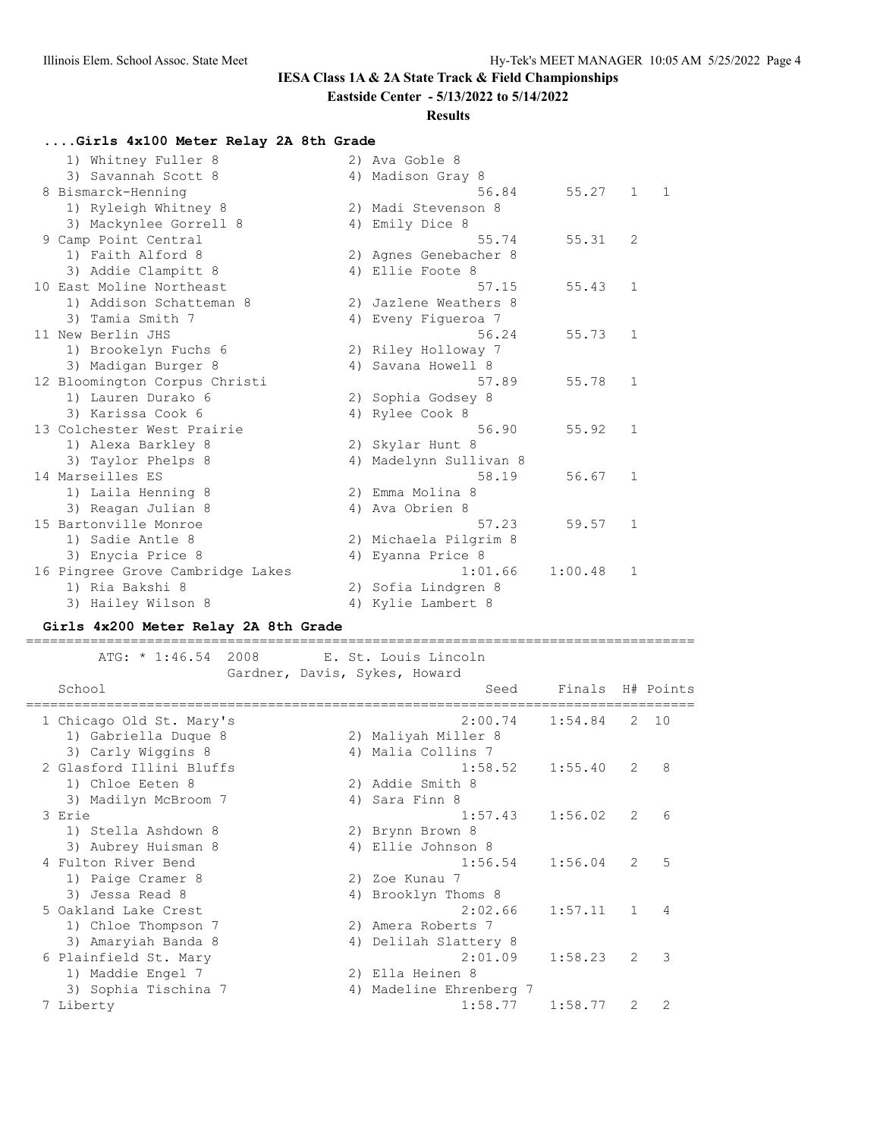# **IESA Class 1A & 2A State Track & Field Championships**

## **Eastside Center - 5/13/2022 to 5/14/2022**

## **Results**

## **....Girls 4x100 Meter Relay 2A 8th Grade**

| 1) Whitney Fuller 8              |    | 2) Ava Goble 8        |         |                |   |
|----------------------------------|----|-----------------------|---------|----------------|---|
| 3) Savannah Scott 8              |    | 4) Madison Gray 8     |         |                |   |
| 8 Bismarck-Henning               |    | 56.84                 | 55.27   | $\mathbf{1}$   | 1 |
| 1) Ryleigh Whitney 8             |    | 2) Madi Stevenson 8   |         |                |   |
| 3) Mackynlee Gorrell 8           |    | 4) Emily Dice 8       |         |                |   |
| 9 Camp Point Central             |    | 55.74                 | 55.31   | $\overline{2}$ |   |
| 1) Faith Alford 8                |    | 2) Agnes Genebacher 8 |         |                |   |
| 3) Addie Clampitt 8              |    | 4) Ellie Foote 8      |         |                |   |
| 10 East Moline Northeast         |    | 57.15                 | 55.43   | $\mathbf{1}$   |   |
| 1) Addison Schatteman 8          |    | 2) Jazlene Weathers 8 |         |                |   |
| 3) Tamia Smith 7                 |    | 4) Eveny Figueroa 7   |         |                |   |
| 11 New Berlin JHS                |    | 56.24                 | 55.73   | $\mathbf{1}$   |   |
| 1) Brookelyn Fuchs 6             |    | 2) Riley Holloway 7   |         |                |   |
| 3) Madigan Burger 8              |    | 4) Savana Howell 8    |         |                |   |
| 12 Bloomington Corpus Christi    |    | 57.89                 | 55.78   | $\mathbf 1$    |   |
| 1) Lauren Durako 6               |    | 2) Sophia Godsey 8    |         |                |   |
| 3) Karissa Cook 6                |    | 4) Rylee Cook 8       |         |                |   |
| 13 Colchester West Prairie       |    | 56.90                 | 55.92   | $\mathbf{1}$   |   |
| 1) Alexa Barkley 8               |    | 2) Skylar Hunt 8      |         |                |   |
| 3) Taylor Phelps 8               | 4) | Madelynn Sullivan 8   |         |                |   |
| 14 Marseilles ES                 |    | 58.19                 | 56.67   | $\mathbf{1}$   |   |
| 1) Laila Henning 8               |    | 2) Emma Molina 8      |         |                |   |
| 3) Reagan Julian 8               | 4) | Ava Obrien 8          |         |                |   |
| 15 Bartonville Monroe            |    | 57.23                 | 59.57   | $\mathbf{1}$   |   |
| 1) Sadie Antle 8                 |    | 2) Michaela Pilgrim 8 |         |                |   |
| 3) Enycia Price 8                | 4) | Eyanna Price 8        |         |                |   |
| 16 Pingree Grove Cambridge Lakes |    | 1:01.66               | 1:00.48 | 1              |   |
| 1) Ria Bakshi 8                  |    | 2) Sofia Lindgren 8   |         |                |   |
| 3) Hailey Wilson 8               |    | 4) Kylie Lambert 8    |         |                |   |

## **Girls 4x200 Meter Relay 2A 8th Grade**

=================================================================================== ATG: \* 1:46.54 2008 E. St. Louis Lincoln

|                          | Gardner, Davis, Sykes, Howard |                  |               |              |
|--------------------------|-------------------------------|------------------|---------------|--------------|
| School                   | Seed                          | Finals H# Points |               |              |
| 1 Chicago Old St. Mary's | 2:00.74                       | 1:54.84          |               | $2 \quad 10$ |
| 1) Gabriella Duque 8     | 2) Maliyah Miller 8           |                  |               |              |
| 3) Carly Wiggins 8       | 4) Malia Collins 7            |                  |               |              |
| 2 Glasford Illini Bluffs | 1:58.52                       | 1:55.40          | 2             | 8            |
| 1) Chloe Eeten 8         | 2) Addie Smith 8              |                  |               |              |
| 3) Madilyn McBroom 7     | 4) Sara Finn 8                |                  |               |              |
| 3 Erie                   | 1:57.43                       | 1:56.02          | 2             | 6            |
| 1) Stella Ashdown 8      | 2) Brynn Brown 8              |                  |               |              |
| 3) Aubrey Huisman 8      | 4) Ellie Johnson 8            |                  |               |              |
| 4 Fulton River Bend      | 1:56.54                       | 1:56.04          | 2             | 5            |
| 1) Paige Cramer 8        | 2) Zoe Kunau 7                |                  |               |              |
| 3) Jessa Read 8          | 4) Brooklyn Thoms 8           |                  |               |              |
| 5 Oakland Lake Crest     | 2:02.66                       | 1:57.11          | $\mathbf{1}$  | 4            |
| 1) Chloe Thompson 7      | 2) Amera Roberts 7            |                  |               |              |
| 3) Amaryiah Banda 8      | 4) Delilah Slattery 8         |                  |               |              |
| 6 Plainfield St. Mary    | 2:01.09                       | 1:58.23          | $\mathcal{L}$ | 3            |
| 1) Maddie Engel 7        | 2) Ella Heinen 8              |                  |               |              |
| 3) Sophia Tischina 7     | 4) Madeline Ehrenberg 7       |                  |               |              |
| 7 Liberty                | 1:58.77                       | 1:58.77          | 2             | 2            |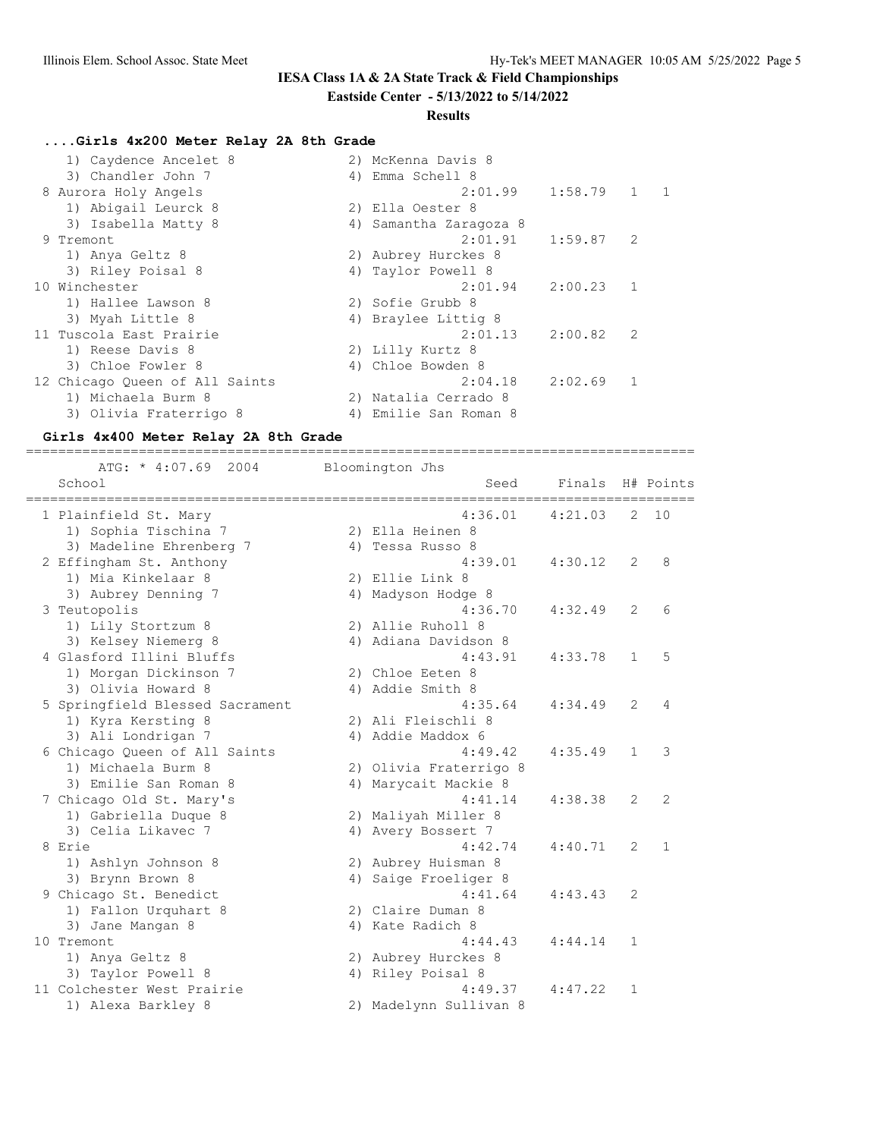# **IESA Class 1A & 2A State Track & Field Championships**

## **Eastside Center - 5/13/2022 to 5/14/2022**

## **Results**

# **....Girls 4x200 Meter Relay 2A 8th Grade**

| 1) Caydence Ancelet 8          | 2) McKenna Davis 8     |             |              |                |
|--------------------------------|------------------------|-------------|--------------|----------------|
| 3) Chandler John 7             | 4) Emma Schell 8       |             |              |                |
| 8 Aurora Holy Angels           | 2:01.99                | 1:58.79     | $\mathbf{1}$ | $\overline{1}$ |
| 1) Abigail Leurck 8            | 2) Ella Oester 8       |             |              |                |
| 3) Isabella Matty 8            | 4) Samantha Zaragoza 8 |             |              |                |
| 9 Tremont                      | 2:01.91                | 1:59.87     | 2            |                |
| 1) Anya Geltz 8                | 2) Aubrey Hurckes 8    |             |              |                |
| 3) Riley Poisal 8              | 4) Taylor Powell 8     |             |              |                |
| 10 Winchester                  | 2:01.94                | $2:00.23$ 1 |              |                |
| 1) Hallee Lawson 8             | 2) Sofie Grubb 8       |             |              |                |
| 3) Myah Little 8               | 4) Braylee Littig 8    |             |              |                |
| 11 Tuscola East Prairie        | 2:01.13                | 2:00.82     | 2            |                |
| 1) Reese Davis 8               | 2) Lilly Kurtz 8       |             |              |                |
| 3) Chloe Fowler 8              | 4) Chloe Bowden 8      |             |              |                |
| 12 Chicago Queen of All Saints | 2:04.18                | 2:02.69     | 1            |                |
| 1) Michaela Burm 8             | 2) Natalia Cerrado 8   |             |              |                |
| 3) Olivia Fraterrigo 8         | 4) Emilie San Roman 8  |             |              |                |

## **Girls 4x400 Meter Relay 2A 8th Grade**

| ----------------------------------<br>ATG: * 4:07.69 2004 | Bloomington Jhs        |         |                |              |
|-----------------------------------------------------------|------------------------|---------|----------------|--------------|
| School<br>=============                                   | Seed                   | Finals  |                | H# Points    |
| 1 Plainfield St. Mary                                     | 4:36.01                | 4:21.03 | 2              | 10           |
| 1) Sophia Tischina 7                                      | 2) Ella Heinen 8       |         |                |              |
| 3) Madeline Ehrenberg 7                                   | 4) Tessa Russo 8       |         |                |              |
| 2 Effingham St. Anthony                                   | 4:39.01                | 4:30.12 | 2              | 8            |
| 1) Mia Kinkelaar 8                                        | 2) Ellie Link 8        |         |                |              |
| 3) Aubrey Denning 7                                       | 4) Madyson Hodge 8     |         |                |              |
| 3 Teutopolis                                              | 4:36.70                | 4:32.49 | 2              | 6            |
| 1) Lily Stortzum 8                                        | 2) Allie Ruholl 8      |         |                |              |
| 3) Kelsey Niemerg 8                                       | 4) Adiana Davidson 8   |         |                |              |
| 4 Glasford Illini Bluffs                                  | 4:43.91                | 4:33.78 | $\mathbf{1}$   | 5            |
| 1) Morgan Dickinson 7                                     | 2) Chloe Eeten 8       |         |                |              |
| 3) Olivia Howard 8                                        | 4) Addie Smith 8       |         |                |              |
| 5 Springfield Blessed Sacrament                           | 4:35.64                | 4:34.49 | 2              | 4            |
| 1) Kyra Kersting 8                                        | 2) Ali Fleischli 8     |         |                |              |
| 3) Ali Londrigan 7                                        | 4) Addie Maddox 6      |         |                |              |
| 6 Chicago Queen of All Saints                             | 4:49.42                | 4:35.49 | $\mathbf{1}$   | 3            |
| 1) Michaela Burm 8                                        | 2) Olivia Fraterrigo 8 |         |                |              |
| 3) Emilie San Roman 8                                     | 4) Marycait Mackie 8   |         |                |              |
| 7 Chicago Old St. Mary's                                  | 4:41.14                | 4:38.38 | $\overline{2}$ | 2            |
| 1) Gabriella Duque 8                                      | 2) Maliyah Miller 8    |         |                |              |
| 3) Celia Likavec 7                                        | 4) Avery Bossert 7     |         |                |              |
| 8 Erie                                                    | 4:42.74                | 4:40.71 | 2              | $\mathbf{1}$ |
| 1) Ashlyn Johnson 8                                       | 2) Aubrey Huisman 8    |         |                |              |
| 3) Brynn Brown 8                                          | 4) Saige Froeliger 8   |         |                |              |
| 9 Chicago St. Benedict                                    | 4:41.64                | 4:43.43 | 2              |              |
| 1) Fallon Urquhart 8                                      | 2) Claire Duman 8      |         |                |              |
| 3) Jane Mangan 8                                          | 4) Kate Radich 8       |         |                |              |
| 10 Tremont                                                | 4:44.43                | 4:44.14 | 1              |              |
| 1) Anya Geltz 8                                           | 2) Aubrey Hurckes 8    |         |                |              |
| 3) Taylor Powell 8                                        | 4) Riley Poisal 8      |         |                |              |
| 11 Colchester West Prairie                                | 4:49.37                | 4:47.22 | 1              |              |
| 1) Alexa Barkley 8                                        | 2) Madelynn Sullivan 8 |         |                |              |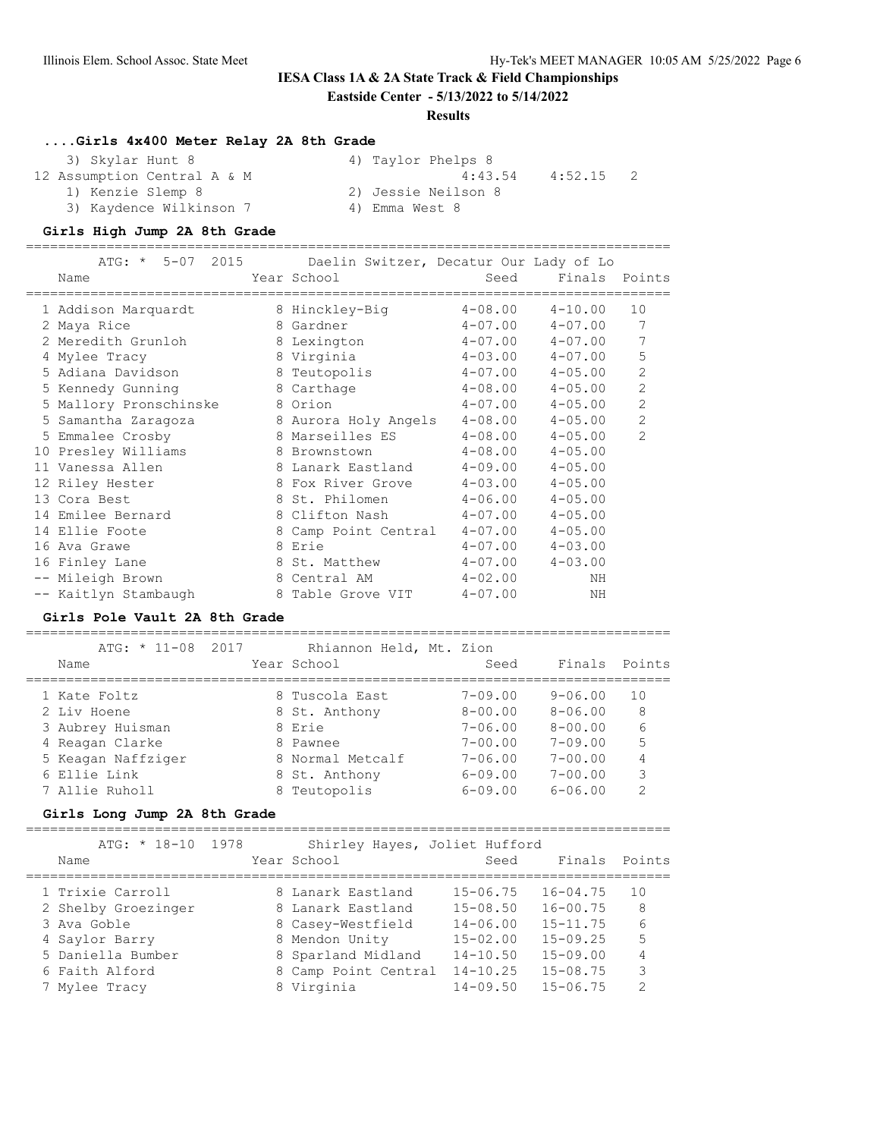### **IESA Class 1A & 2A State Track & Field Championships**

**Eastside Center - 5/13/2022 to 5/14/2022**

#### **Results**

#### **....Girls 4x400 Meter Relay 2A 8th Grade**

| 3) Skylar Hunt 8            | 4) Taylor Phelps 8  |         |
|-----------------------------|---------------------|---------|
| 12 Assumption Central A & M | 4:43.54             | 4:52.15 |
| 1) Kenzie Slemp 8           | 2) Jessie Neilson 8 |         |
| 3) Kaydence Wilkinson 7     | 4) Emma West 8      |         |

#### **Girls High Jump 2A 8th Grade**

================================================================================

| ATG: * 5-07 2015 Daelin Switzer, Decatur Our Lady of Lo |                      |             |                         |                |
|---------------------------------------------------------|----------------------|-------------|-------------------------|----------------|
| Name                                                    | Year School          | Seed        | Finals Points           |                |
| 1 Addison Marquardt                                     | 8 Hinckley-Big       |             | $4-08.00$ $4-10.00$     | 10             |
| 2 Maya Rice                                             | 8 Gardner            | $4 - 07.00$ | $4 - 07.00$             | 7              |
| 2 Meredith Grunloh                                      | 8 Lexington          |             | $4 - 07.00$ $4 - 07.00$ | 7              |
| 4 Mylee Tracy                                           | 8 Virginia           |             | $4-03.00$ $4-07.00$     | 5              |
| 5 Adiana Davidson                                       | 8 Teutopolis         | $4 - 07.00$ | $4 - 05.00$             | $\overline{2}$ |
| 5 Kennedy Gunning                                       | 8 Carthage           | $4 - 08.00$ | $4 - 05.00$             | $\overline{2}$ |
| 5 Mallory Pronschinske                                  | 8 Orion              | $4 - 07.00$ | $4 - 05.00$             | $\overline{2}$ |
| 5 Samantha Zaragoza                                     | 8 Aurora Holy Angels |             | $4-08.00$ $4-05.00$     | $\overline{2}$ |
| 5 Emmalee Crosby                                        | 8 Marseilles ES      | $4 - 08.00$ | $4 - 05.00$             | $\overline{2}$ |
| 10 Presley Williams                                     | 8 Brownstown         | $4 - 08.00$ | $4 - 05.00$             |                |
| 11 Vanessa Allen                                        | 8 Lanark Eastland    | $4 - 09.00$ | $4 - 05.00$             |                |
| 12 Riley Hester                                         | 8 Fox River Grove    | $4 - 03.00$ | $4 - 05.00$             |                |
| 13 Cora Best                                            | 8 St. Philomen       | $4 - 06.00$ | $4 - 05.00$             |                |
| 14 Emilee Bernard                                       | 8 Clifton Nash       | $4 - 07.00$ | $4 - 05.00$             |                |
| 14 Ellie Foote                                          | 8 Camp Point Central | $4 - 07.00$ | $4 - 05.00$             |                |
| 16 Ava Grawe                                            | 8 Erie               | $4 - 07.00$ | $4 - 03.00$             |                |
| 16 Finley Lane                                          | 8 St. Matthew        | $4 - 07.00$ | $4 - 03.00$             |                |
| -- Mileigh Brown                                        | 8 Central AM         | $4 - 02.00$ | NH                      |                |
| -- Kaitlyn Stambaugh                                    | 8 Table Grove VIT    | $4 - 07.00$ | ΝH                      |                |

#### **Girls Pole Vault 2A 8th Grade**

================================================================================ ATG: \* 11-08 2017 Rhiannon Held, Mt. Zion Name The Year School Contract Seed Finals Points ================================================================================ 1 Kate Foltz 8 Tuscola East 7-09.00 9-06.00 10 2 Liv Hoene 8 St. Anthony 8-00.00 8-06.00 8 3 Aubrey Huisman 8 Erie 7-06.00 8-00.00 6 4 Reagan Clarke 8 Pawnee 7-00.00 7-09.00 5 5 Keagan Naffziger 8 Normal Metcalf 7-06.00 7-00.00 4 6 Ellie Link 8 St. Anthony 6-09.00 7-00.00 3 7 Allie Ruholl 8 Teutopolis 6-09.00 6-06.00 2

### **Girls Long Jump 2A 8th Grade**

================================================================================

| $ATG: * 18-10 1978$ | Shirley Hayes, Joliet Hufford |              |              |               |
|---------------------|-------------------------------|--------------|--------------|---------------|
| Name                | Year School                   | Seed         | Finals       | Points        |
| 1 Trixie Carroll    | 8 Lanark Eastland             | $15 - 06.75$ | $16 - 04.75$ | 10            |
| 2 Shelby Groezinger | 8 Lanark Eastland             | $15 - 08.50$ | $16 - 00.75$ | 8             |
| 3 Ava Goble         | 8 Casey-Westfield             | $14 - 06.00$ | $15 - 11.75$ | 6             |
| 4 Saylor Barry      | 8 Mendon Unity                | $15 - 02.00$ | $15 - 09.25$ | 5             |
| 5 Daniella Bumber   | 8 Sparland Midland            | $14 - 10.50$ | $15 - 09.00$ | 4             |
| 6 Faith Alford      | 8 Camp Point Central          | $14 - 10.25$ | $15 - 08.75$ | 3             |
| 7 Mylee Tracy       | 8 Virginia                    | $14 - 09.50$ | $15 - 06.75$ | $\mathcal{D}$ |
|                     |                               |              |              |               |